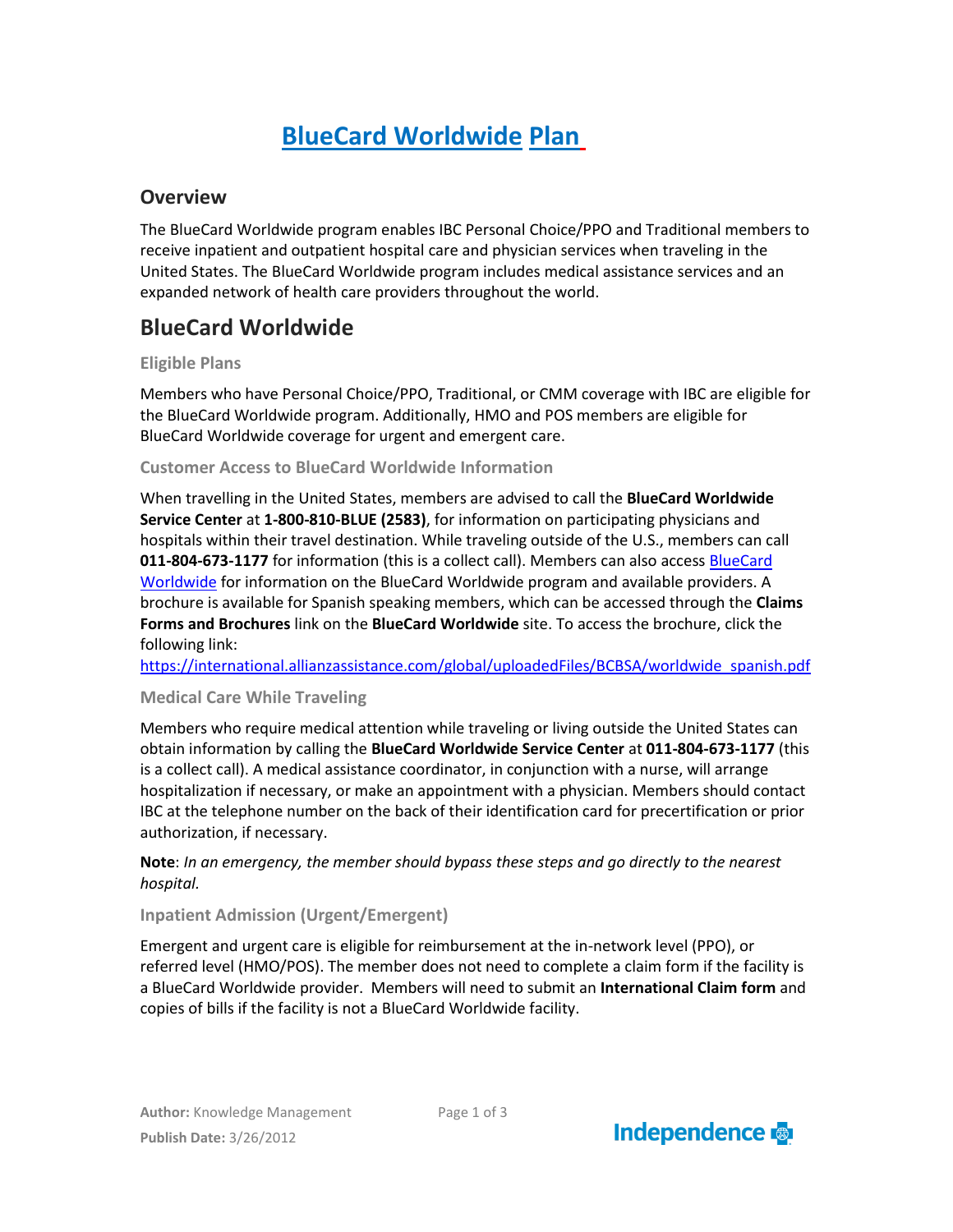# **BlueCard Worldwide Plan**

### **Overview**

The BlueCard Worldwide program enables IBC Personal Choice/PPO and Traditional members to receive inpatient and outpatient hospital care and physician services when traveling in the United States. The BlueCard Worldwide program includes medical assistance services and an expanded network of health care providers throughout the world.

## **BlueCard Worldwide**

#### **Eligible Plans**

Members who have Personal Choice/PPO, Traditional, or CMM coverage with IBC are eligible for the BlueCard Worldwide program. Additionally, HMO and POS members are eligible for BlueCard Worldwide coverage for urgent and emergent care.

#### **Customer Access to BlueCard Worldwide Information**

When travelling in the United States, members are advised to call the **BlueCard Worldwide Service Center** at **1-800-810-BLUE (2583)**, for information on participating physicians and hospitals within their travel destination. While traveling outside of the U.S., members can call **011-804-673-1177** for information (this is a collect call). Members can also access [BlueCard](https://international.allianzassistance.com/bcbsa/index.asp?page=login)  [Worldwide](https://international.allianzassistance.com/bcbsa/index.asp?page=login) for information on the BlueCard Worldwide program and available providers. A brochure is available for Spanish speaking members, which can be accessed through the **Claims Forms and Brochures** link on the **BlueCard Worldwide** site. To access the brochure, click the following link:

[https://international.allianzassistance.com/global/uploadedFiles/BCBSA/worldwide\\_spanish.pdf](https://international.allianzassistance.com/global/uploadedFiles/BCBSA/worldwide_spanish.pdf)

#### **Medical Care While Traveling**

Members who require medical attention while traveling or living outside the United States can obtain information by calling the **BlueCard Worldwide Service Center** at **011-804-673-1177** (this is a collect call). A medical assistance coordinator, in conjunction with a nurse, will arrange hospitalization if necessary, or make an appointment with a physician. Members should contact IBC at the telephone number on the back of their identification card for precertification or prior authorization, if necessary.

#### **Note**: *In an emergency, the member should bypass these steps and go directly to the nearest hospital.*

#### **Inpatient Admission (Urgent/Emergent)**

Emergent and urgent care is eligible for reimbursement at the in-network level (PPO), or referred level (HMO/POS). The member does not need to complete a claim form if the facility is a BlueCard Worldwide provider. Members will need to submit an **International Claim form** and copies of bills if the facility is not a BlueCard Worldwide facility.

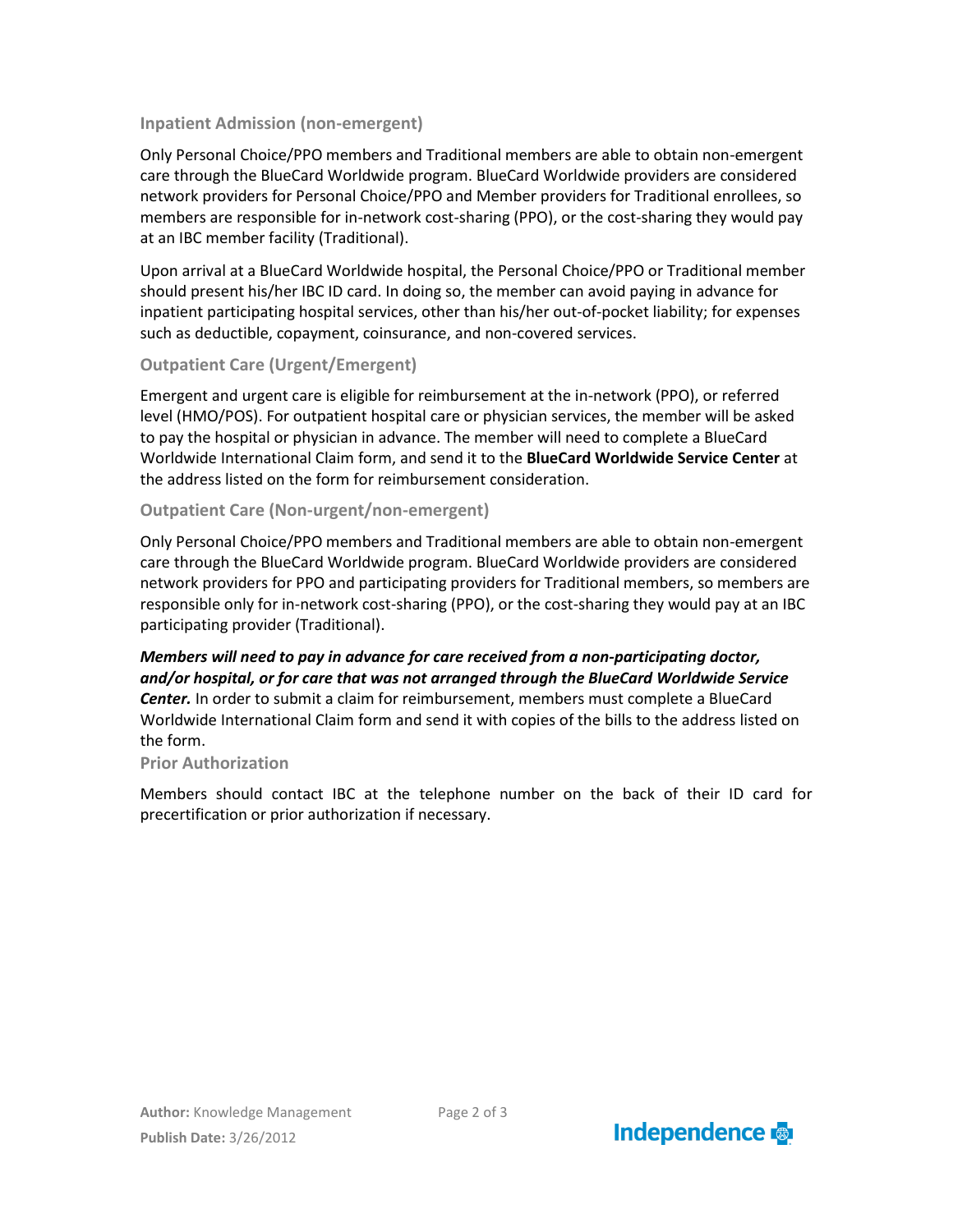#### **Inpatient Admission (non-emergent)**

Only Personal Choice/PPO members and Traditional members are able to obtain non-emergent care through the BlueCard Worldwide program. BlueCard Worldwide providers are considered network providers for Personal Choice/PPO and Member providers for Traditional enrollees, so members are responsible for in-network cost-sharing (PPO), or the cost-sharing they would pay at an IBC member facility (Traditional).

Upon arrival at a BlueCard Worldwide hospital, the Personal Choice/PPO or Traditional member should present his/her IBC ID card. In doing so, the member can avoid paying in advance for inpatient participating hospital services, other than his/her out-of-pocket liability; for expenses such as deductible, copayment, coinsurance, and non-covered services.

#### **Outpatient Care (Urgent/Emergent)**

Emergent and urgent care is eligible for reimbursement at the in-network (PPO), or referred level (HMO/POS). For outpatient hospital care or physician services, the member will be asked to pay the hospital or physician in advance. The member will need to complete a BlueCard Worldwide International Claim form, and send it to the **BlueCard Worldwide Service Center** at the address listed on the form for reimbursement consideration.

#### **Outpatient Care (Non-urgent/non-emergent)**

Only Personal Choice/PPO members and Traditional members are able to obtain non-emergent care through the BlueCard Worldwide program. BlueCard Worldwide providers are considered network providers for PPO and participating providers for Traditional members, so members are responsible only for in-network cost-sharing (PPO), or the cost-sharing they would pay at an IBC participating provider (Traditional).

#### *Members will need to pay in advance for care received from a non-participating doctor, and/or hospital, or for care that was not arranged through the BlueCard Worldwide Service Center.* In order to submit a claim for reimbursement, members must complete a BlueCard Worldwide International Claim form and send it with copies of the bills to the address listed on the form.

#### **Prior Authorization**

Members should contact IBC at the telephone number on the back of their ID card for precertification or prior authorization if necessary.